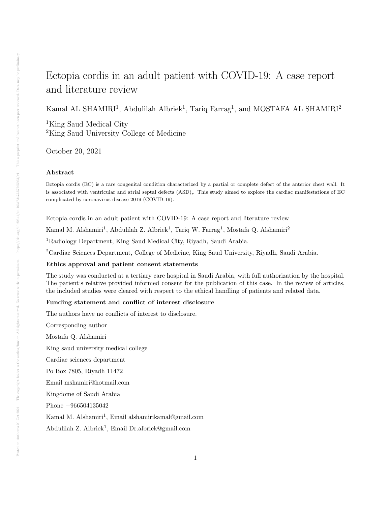# Ectopia cordis in an adult patient with COVID-19: A case report and literature review

Kamal AL SHAMIRI<sup>1</sup>, Abdulilah Albriek<sup>1</sup>, Tariq Farrag<sup>1</sup>, and MOSTAFA AL SHAMIRI<sup>2</sup>

<sup>1</sup>King Saud Medical City <sup>2</sup>King Saud University College of Medicine

October 20, 2021

# Abstract

Ectopia cordis (EC) is a rare congenital condition characterized by a partial or complete defect of the anterior chest wall. It is associated with ventricular and atrial septal defects (ASD),. This study aimed to explore the cardiac manifestations of EC complicated by coronavirus disease 2019 (COVID-19).

Ectopia cordis in an adult patient with COVID-19: A case report and literature review

Kamal M. Alshamiri<sup>1</sup>, Abdulilah Z. Albriek<sup>1</sup>, Tariq W. Farrag<sup>1</sup>, Mostafa Q. Alshamiri<sup>2</sup>

<sup>1</sup>Radiology Department, King Saud Medical City, Riyadh, Saudi Arabia.

<sup>2</sup>Cardiac Sciences Department, College of Medicine, King Saud University, Riyadh, Saudi Arabia.

# Ethics approval and patient consent statements

The study was conducted at a tertiary care hospital in Saudi Arabia, with full authorization by the hospital. The patient's relative provided informed consent for the publication of this case. In the review of articles, the included studies were cleared with respect to the ethical handling of patients and related data.

# Funding statement and conflict of interest disclosure

The authors have no conflicts of interest to disclosure.

Corresponding author Mostafa Q. Alshamiri King saud university medical college Cardiac sciences department Po Box 7805, Riyadh 11472 Email mshamiri@hotmail.com Kingdome of Saudi Arabia Phone +966504135042 Kamal M. Alshamiri<sup>1</sup>, Email alshamirikamal@gmail.com

Abdulilah Z. Albriek<sup>1</sup>, Email Dr.albriek@gmail.com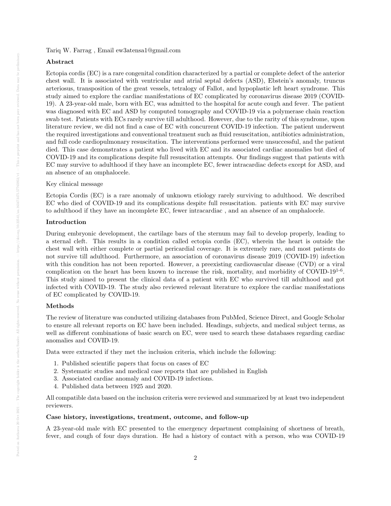Tariq W. Farrag , Email ew3atensa1@gmail.com

## Abstract

Ectopia cordis (EC) is a rare congenital condition characterized by a partial or complete defect of the anterior chest wall. It is associated with ventricular and atrial septal defects (ASD), Ebstein's anomaly, truncus arteriosus, transposition of the great vessels, tetralogy of Fallot, and hypoplastic left heart syndrome. This study aimed to explore the cardiac manifestations of EC complicated by coronavirus disease 2019 (COVID-19). A 23-year-old male, born with EC, was admitted to the hospital for acute cough and fever. The patient was diagnosed with EC and ASD by computed tomography and COVID-19 via a polymerase chain reaction swab test. Patients with ECs rarely survive till adulthood. However, due to the rarity of this syndrome, upon literature review, we did not find a case of EC with concurrent COVID-19 infection. The patient underwent the required investigations and conventional treatment such as fluid resuscitation, antibiotics administration, and full code cardiopulmonary resuscitation. The interventions performed were unsuccessful, and the patient died. This case demonstrates a patient who lived with EC and its associated cardiac anomalies but died of COVID-19 and its complications despite full resuscitation attempts. Our findings suggest that patients with EC may survive to adulthood if they have an incomplete EC, fewer intracardiac defects except for ASD, and an absence of an omphalocele.

## Key clinical message

Ectopia Cordis (EC) is a rare anomaly of unknown etiology rarely surviving to adulthood. We described EC who died of COVID-19 and its complications despite full resuscitation. patients with EC may survive to adulthood if they have an incomplete EC, fewer intracardiac , and an absence of an omphalocele.

## Introduction

During embryonic development, the cartilage bars of the sternum may fail to develop properly, leading to a sternal cleft. This results in a condition called ectopia cordis (EC), wherein the heart is outside the chest wall with either complete or partial pericardial coverage. It is extremely rare, and most patients do not survive till adulthood. Furthermore, an association of coronavirus disease 2019 (COVID-19) infection with this condition has not been reported. However, a preexisting cardiovascular disease (CVD) or a viral complication on the heart has been known to increase the risk, mortality, and morbidity of COVID-19<sup>1-6</sup>. This study aimed to present the clinical data of a patient with EC who survived till adulthood and got infected with COVID-19. The study also reviewed relevant literature to explore the cardiac manifestations of EC complicated by COVID-19.

#### Methods

The review of literature was conducted utilizing databases from PubMed, Science Direct, and Google Scholar to ensure all relevant reports on EC have been included. Headings, subjects, and medical subject terms, as well as different combinations of basic search on EC, were used to search these databases regarding cardiac anomalies and COVID-19.

Data were extracted if they met the inclusion criteria, which include the following:

- 1. Published scientific papers that focus on cases of EC
- 2. Systematic studies and medical case reports that are published in English
- 3. Associated cardiac anomaly and COVID-19 infections.
- 4. Published data between 1925 and 2020.

All compatible data based on the inclusion criteria were reviewed and summarized by at least two independent reviewers.

# Case history, investigations, treatment, outcome, and follow-up

A 23-year-old male with EC presented to the emergency department complaining of shortness of breath, fever, and cough of four days duration. He had a history of contact with a person, who was COVID-19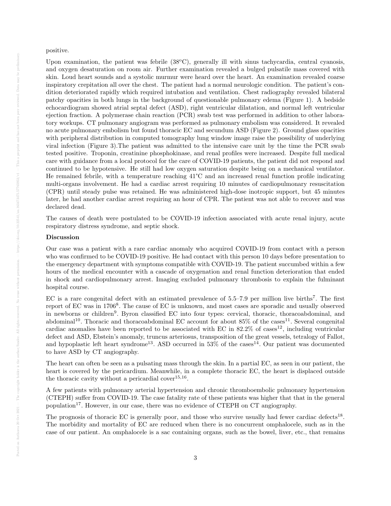#### positive.

Upon examination, the patient was febrile  $(38^{\circ}C)$ , generally ill with sinus tachycardia, central cyanosis, and oxygen desaturation on room air. Further examination revealed a bulged pulsatile mass covered with skin. Loud heart sounds and a systolic murmur were heard over the heart. An examination revealed coarse inspiratory crepitation all over the chest. The patient had a normal neurologic condition. The patient's condition deteriorated rapidly which required intubation and ventilation. Chest radiography revealed bilateral patchy opacities in both lungs in the background of questionable pulmonary edema (Figure 1). A bedside echocardiogram showed atrial septal defect (ASD), right ventricular dilatation, and normal left ventricular ejection fraction. A polymerase chain reaction (PCR) swab test was performed in addition to other laboratory workups. CT pulmonary angiogram was performed as pulmonary embolism was considered. It revealed no acute pulmonary embolism but found thoracic EC and secundum ASD (Figure 2). Ground glass opacities with peripheral distribution in computed tomography lung window image raise the possibility of underlying viral infection (Figure 3).The patient was admitted to the intensive care unit by the time the PCR swab tested positive. Troponin, creatinine phosphokinase, and renal profiles were increased. Despite full medical care with guidance from a local protocol for the care of COVID-19 patients, the patient did not respond and continued to be hypotensive. He still had low oxygen saturation despite being on a mechanical ventilator. He remained febrile, with a temperature reaching 41°C and an increased renal function profile indicating multi-organs involvement. He had a cardiac arrest requiring 10 minutes of cardiopulmonary resuscitation (CPR) until steady pulse was retained. He was administered high-dose inotropic support, but 45 minutes later, he had another cardiac arrest requiring an hour of CPR. The patient was not able to recover and was declared dead.

The causes of death were postulated to be COVID-19 infection associated with acute renal injury, acute respiratory distress syndrome, and septic shock.

## Discussion

Our case was a patient with a rare cardiac anomaly who acquired COVID-19 from contact with a person who was confirmed to be COVID-19 positive. He had contact with this person 10 days before presentation to the emergency department with symptoms compatible with COVID-19. The patient succumbed within a few hours of the medical encounter with a cascade of oxygenation and renal function deterioration that ended in shock and cardiopulmonary arrest. Imaging excluded pulmonary thrombosis to explain the fulminant hospital course.

EC is a rare congenital defect with an estimated prevalence of  $5.5-7.9$  per million live births<sup>7</sup>. The first report of EC was in 1706<sup>8</sup>. The cause of EC is unknown, and most cases are sporadic and usually observed in newborns or children<sup>9</sup>. Byron classified EC into four types: cervical, thoracic, thoracoabdominal, and abdominal<sup>10</sup>. Thoracic and thoracoabdominal EC account for about  $85\%$  of the cases<sup>11</sup>. Several congenital cardiac anomalies have been reported to be associated with EC in  $82.2\%$  of cases<sup>12</sup>, including ventricular defect and ASD, Ebstein's anomaly, truncus arteriosus, transposition of the great vessels, tetralogy of Fallot, and hypoplastic left heart syndrome<sup>13</sup>. ASD occurred in  $53\%$  of the cases<sup>14</sup>. Our patient was documented to have ASD by CT angiography.

The heart can often be seen as a pulsating mass through the skin. In a partial EC, as seen in our patient, the heart is covered by the pericardium. Meanwhile, in a complete thoracic EC, the heart is displaced outside the thoracic cavity without a pericardial cover  $15,16$ .

A few patients with pulmonary arterial hypertension and chronic thromboembolic pulmonary hypertension (CTEPH) suffer from COVID-19. The case fatality rate of these patients was higher that that in the general population<sup>17</sup>. However, in our case, there was no evidence of CTEPH on CT angiography.

The prognosis of thoracic EC is generally poor, and those who survive usually had fewer cardiac defects<sup>18</sup>. The morbidity and mortality of EC are reduced when there is no concurrent omphalocele, such as in the case of our patient. An omphalocele is a sac containing organs, such as the bowel, liver, etc., that remains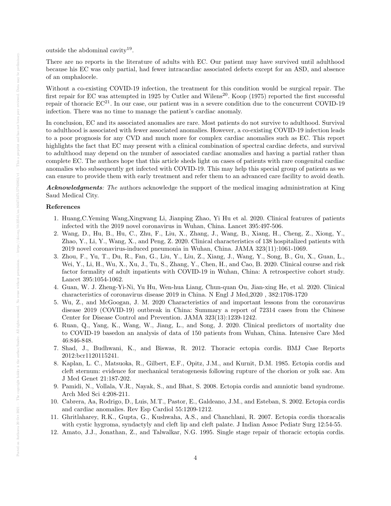outside the abdominal cavity<sup>19</sup>.

There are no reports in the literature of adults with EC. Our patient may have survived until adulthood because his EC was only partial, had fewer intracardiac associated defects except for an ASD, and absence of an omphalocele.

Without a co-existing COVID-19 infection, the treatment for this condition would be surgical repair. The first repair for EC was attempted in 1925 by Cutler and Wilens<sup>20</sup>. Koop (1975) reported the first successful repair of thoracic  $EC^{21}$ . In our case, our patient was in a severe condition due to the concurrent COVID-19 infection. There was no time to manage the patient's cardiac anomaly.

In conclusion, EC and its associated anomalies are rare. Most patients do not survive to adulthood. Survival to adulthood is associated with fewer associated anomalies. However, a co-existing COVID-19 infection leads to a poor prognosis for any CVD and much more for complex cardiac anomalies such as EC. This report highlights the fact that EC may present with a clinical combination of spectral cardiac defects, and survival to adulthood may depend on the number of associated cardiac anomalies and having a partial rather than complete EC. The authors hope that this article sheds light on cases of patients with rare congenital cardiac anomalies who subsequently get infected with COVID-19. This may help this special group of patients as we can ensure to provide them with early treatment and refer them to an advanced care facility to avoid death.

Acknowledgments: The authors acknowledge the support of the medical imaging administration at King Saud Medical City.

# References

- 1. Huang,C.Yeming Wang,Xingwang Li, Jianping Zhao, Yi Hu et al. 2020. Clinical features of patients infected with the 2019 novel coronavirus in Wuhan, China. Lancet 395:497-506.
- 2. Wang, D., Hu, B., Hu, C., Zhu, F., Liu, X., Zhang, J., Wang, B., Xiang, H., Cheng, Z., Xiong, Y., Zhao, Y., Li, Y., Wang, X., and Peng, Z. 2020. Clinical characteristics of 138 hospitalized patients with 2019 novel coronavirus-induced pneumonia in Wuhan, China. JAMA 323(11):1061-1069.
- 3. Zhou, F., Yu, T., Du, R., Fan, G., Liu, Y., Liu, Z., Xiang, J., Wang, Y., Song, B., Gu, X., Guan, L., Wei, Y., Li, H., Wu, X., Xu, J., Tu, S., Zhang, Y., Chen, H., and Cao, B. 2020. Clinical course and risk factor formality of adult inpatients with COVID-19 in Wuhan, China: A retrospective cohort study. Lancet 395:1054-1062.
- 4. Guan, W. J. Zheng-Yi-Ni, Yu Hu, Wen-hua Liang, Chun-quan Ou, Jian-xing He, et al. 2020. Clinical characteristics of coronavirus disease 2019 in China. N Engl J Med,2020 , 382:1708-1720
- 5. Wu, Z., and McGoogan, J. M. 2020 Characteristics of and important lessons from the coronavirus disease 2019 (COVID-19) outbreak in China: Summary a report of 72314 cases from the Chinese Center for Disease Control and Prevention. JAMA 323(13):1239-1242.
- 6. Ruan, Q., Yang, K., Wang, W., Jiang, L., and Song, J. 2020. Clinical predictors of mortality due to COVID-19 basedon an analysis of data of 150 patients from Wuhan, China. Intensive Care Med 46:846-848.
- 7. Shad, J., Budhwani, K., and Biswas, R. 2012. Thoracic ectopia cordis. BMJ Case Reports 2012:bcr1120115241.
- 8. Kaplan, L. C., Matsuoka, R., Gilbert, E.F., Opitz, J.M., and Kurnit, D.M. 1985. Ectopia cordis and cleft sternum: evidence for mechanical teratogenesis following rupture of the chorion or yolk sac. Am J Med Genet 21:187-202.
- 9. Pamidi, N., Vollala, V.R., Nayak, S., and Bhat, S. 2008. Ectopia cordis and amniotic band syndrome. Arch Med Sci 4:208-211.
- 10. Cabrera, Aa, Rodrigo, D., Luis, M.T., Pastor, E., Galdeano, J.M., and Esteban, S. 2002. Ectopia cordis and cardiac anomalies. Rev Esp Cardiol 55:1209-1212.
- 11. Ghritlaharey, R.K., Gupta, G., Kushwaha, A.S., and Chanchlani, R. 2007. Ectopia cordis thoracalis with cystic hygroma, syndactyly and cleft lip and cleft palate. J Indian Assoc Pediatr Surg 12:54-55.
- 12. Amato, J.J., Jonathan, Z., and Talwalkar, N.G. 1995. Single stage repair of thoracic ectopia cordis.